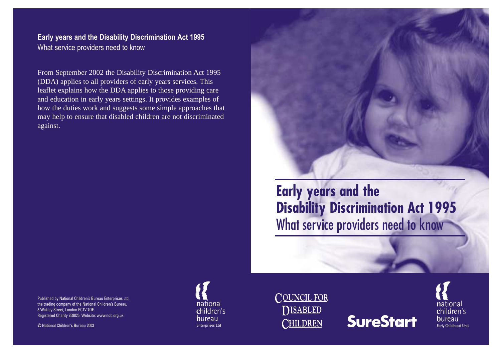**Early years and the Disability Discrimination Act 1995** What service providers need to know

From September 2002 the Disability Discrimination Act 1995 (DDA) applies to all providers of early years services. This leaflet explains how the DDA applies to those providing care and education in early years settings. It provides examples of how the duties work and suggests some simple approaches that may help to ensure that disabled children are not discriminated against.



**Early years and the Disability Discrimination Act 1995**  What service providers need to know

Published by National Children's Bureau Enterprises Ltd, the trading company of the National Children's Bureau, 8 Wakley Street, London EC1V 7QE. Registered Charity 258825. Website: www.ncb.org.uk

Oc National Children's Bureau 2003







national children's **b**ureau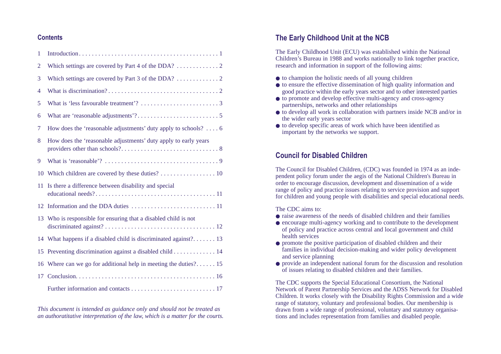## **Contents**

| 1              |                                                                        |
|----------------|------------------------------------------------------------------------|
| $\overline{2}$ |                                                                        |
| 3              |                                                                        |
| 4              |                                                                        |
| 5              |                                                                        |
| 6              |                                                                        |
| 7              | How does the 'reasonable adjustments' duty apply to schools? $\dots$ 6 |
| 8              | How does the 'reasonable adjustments' duty apply to early years        |
| 9              |                                                                        |
| 10             | Which children are covered by these duties? 10                         |
| 11             | Is there a difference between disability and special                   |
| 12             |                                                                        |
|                | 13 Who is responsible for ensuring that a disabled child is not        |
| 14             | What happens if a disabled child is discriminated against? 13          |
| 15             |                                                                        |
| 16             | Where can we go for additional help in meeting the duties? 15          |
| 17             |                                                                        |
|                |                                                                        |

*This document is intended as guidance only and should not be treated as an authoratitative interpretation of the law, which is a matter for the courts.*

# **The Early Childhood Unit at the NCB**

The Early Childhood Unit (ECU) was established within the National Children's Bureau in 1988 and works nationally to link together practice, research and information in support of the following aims:

- to champion the holistic needs of all young children
- to ensure the effective dissemination of high quality information and good practice within the early years sector and to other interested parties
- to promote and develop effective multi-agency and cross-agency partnerships, networks and other relationships
- to develop all work in collaboration with partners inside NCB and/or in the wider early years sector
- to develop specific areas of work which have been identified as important by the networks we support.

# **Council for Disabled Children**

The Council for Disabled Children, (CDC) was founded in 1974 as an independent policy forum under the aegis of the National Children's Bureau in order to encourage discussion, development and dissemination of a wide range of policy and practice issues relating to service provision and support for children and young people with disabilities and special educational needs.

The CDC aims to:

- raise awareness of the needs of disabled children and their families
- encourage multi-agency working and to contribute to the development of policy and practice across central and local government and child health services
- promote the positive participation of disabled children and their families in individual decision-making and wider policy development and service planning
- provide an independent national forum for the discussion and resolution of issues relating to disabled children and their families.

The CDC supports the Special Educational Consortium, the National Network of Parent Partnership Services and the ADSS Network for Disabled Children. It works closely with the Disability Rights Commission and a wide range of statutory, voluntary and professional bodies. Our membership is drawn from a wide range of professional, voluntary and statutory organisations and includes representation from families and disabled people.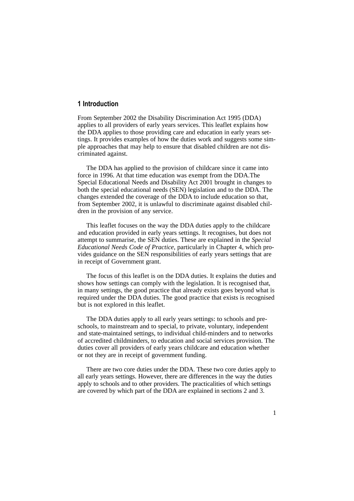## **1 Introduction**

From September 2002 the Disability Discrimination Act 1995 (DDA) applies to all providers of early years services. This leaflet explains how the DDA applies to those providing care and education in early years settings. It provides examples of how the duties work and suggests some simple approaches that may help to ensure that disabled children are not discriminated against.

The DDA has applied to the provision of childcare since it came into force in 1996. At that time education was exempt from the DDA.The Special Educational Needs and Disability Act 2001 brought in changes to both the special educational needs (SEN) legislation and to the DDA. The changes extended the coverage of the DDA to include education so that, from September 2002, it is unlawful to discriminate against disabled children in the provision of any service.

This leaflet focuses on the way the DDA duties apply to the childcare and education provided in early years settings. It recognises, but does not attempt to summarise, the SEN duties. These are explained in the *Special Educational Needs Code of Practice*, particularly in Chapter 4, which provides guidance on the SEN responsibilities of early years settings that are in receipt of Government grant.

The focus of this leaflet is on the DDA duties. It explains the duties and shows how settings can comply with the legislation. It is recognised that, in many settings, the good practice that already exists goes beyond what is required under the DDA duties. The good practice that exists is recognised but is not explored in this leaflet.

The DDA duties apply to all early years settings: to schools and preschools, to mainstream and to special, to private, voluntary, independent and state-maintained settings, to individual child-minders and to networks of accredited childminders, to education and social services provision. The duties cover all providers of early years childcare and education whether or not they are in receipt of government funding.

There are two core duties under the DDA. These two core duties apply to all early years settings. However, there are differences in the way the duties apply to schools and to other providers. The practicalities of which settings are covered by which part of the DDA are explained in sections 2 and 3.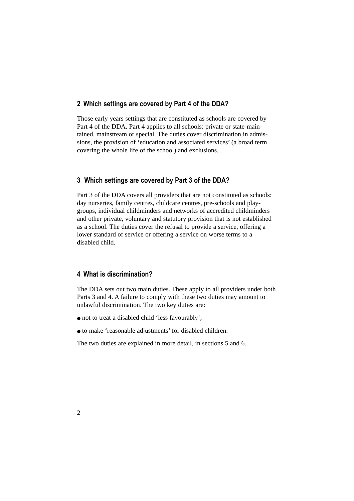## **2 Which settings are covered by Part 4 of the DDA?**

Those early years settings that are constituted as schools are covered by Part 4 of the DDA. Part 4 applies to all schools: private or state-maintained, mainstream or special. The duties cover discrimination in admissions, the provision of 'education and associated services' (a broad term covering the whole life of the school) and exclusions.

## **3 Which settings are covered by Part 3 of the DDA?**

Part 3 of the DDA covers all providers that are not constituted as schools: day nurseries, family centres, childcare centres, pre-schools and playgroups, individual childminders and networks of accredited childminders and other private, voluntary and statutory provision that is not established as a school. The duties cover the refusal to provide a service, offering a lower standard of service or offering a service on worse terms to a disabled child.

## **4 What is discrimination?**

The DDA sets out two main duties. These apply to all providers under both Parts 3 and 4. A failure to comply with these two duties may amount to unlawful discrimination. The two key duties are:

- not to treat a disabled child 'less favourably';
- to make 'reasonable adjustments' for disabled children.

The two duties are explained in more detail, in sections 5 and 6.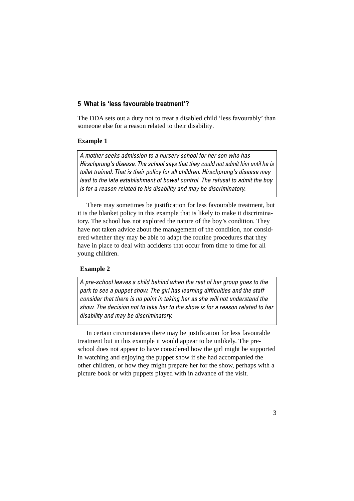## **5 What is 'less favourable treatment'?**

The DDA sets out a duty not to treat a disabled child 'less favourably' than someone else for a reason related to their disability.

## **Example 1**

*A mother seeks admission to a nursery school for her son who has Hirschprung's disease. The school says that they could not admit him until he is toilet trained. That is their policy for all children. Hirschprung's disease may lead to the late establishment of bowel control. The refusal to admit the boy is for a reason related to his disability and may be discriminatory.* 

There may sometimes be justification for less favourable treatment, but it is the blanket policy in this example that is likely to make it discriminatory. The school has not explored the nature of the boy's condition. They have not taken advice about the management of the condition, nor considered whether they may be able to adapt the routine procedures that they have in place to deal with accidents that occur from time to time for all young children.

### **Example 2**

*A pre-school leaves a child behind when the rest of her group goes to the park to see a puppet show. The girl has learning difficulties and the staff consider that there is no point in taking her as she will not understand the show. The decision not to take her to the show is for a reason related to her disability and may be discriminatory.*

In certain circumstances there may be justification for less favourable treatment but in this example it would appear to be unlikely. The preschool does not appear to have considered how the girl might be supported in watching and enjoying the puppet show if she had accompanied the other children, or how they might prepare her for the show, perhaps with a picture book or with puppets played with in advance of the visit.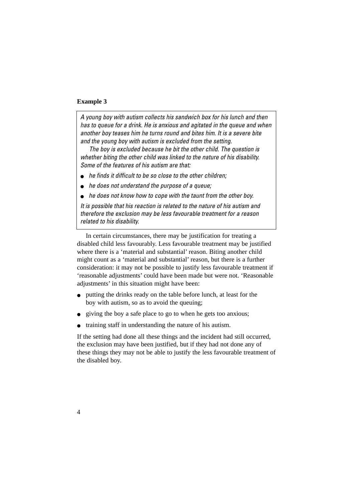#### **Example 3**

*A young boy with autism collects his sandwich box for his lunch and then has to queue for a drink. He is anxious and agitated in the queue and when another boy teases him he turns round and bites him. It is a severe bite and the young boy with autism is excluded from the setting.*

*The boy is excluded because he bit the other child. The question is whether biting the other child was linked to the nature of his disability. Some of the features of his autism are that:* 

- *he finds it difficult to be so close to the other children;*
- *he does not understand the purpose of a queue;*
- *he does not know how to cope with the taunt from the other boy.*

*It is possible that his reaction is related to the nature of his autism and therefore the exclusion may be less favourable treatment for a reason related to his disability.*

In certain circumstances, there may be justification for treating a disabled child less favourably. Less favourable treatment may be justified where there is a 'material and substantial' reason. Biting another child might count as a 'material and substantial' reason, but there is a further consideration: it may not be possible to justify less favourable treatment if 'reasonable adjustments' could have been made but were not. 'Reasonable adjustments' in this situation might have been:

- putting the drinks ready on the table before lunch, at least for the boy with autism, so as to avoid the queuing;
- giving the boy a safe place to go to when he gets too anxious;
- training staff in understanding the nature of his autism.

If the setting had done all these things and the incident had still occurred, the exclusion may have been justified, but if they had not done any of these things they may not be able to justify the less favourable treatment of the disabled boy.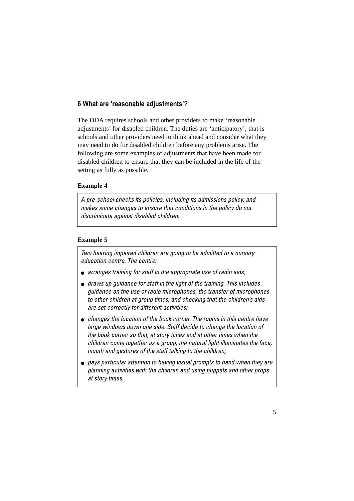## **6 What are 'reasonable adjustments'?**

The DDA requires schools and other providers to make 'reasonable adjustments' for disabled children. The duties are 'anticipatory', that is schools and other providers need to think ahead and consider what they may need to do for disabled children before any problems arise. The following are some examples of adjustments that have been made for disabled children to ensure that they can be included in the life of the setting as fully as possible.

### **Example 4**

*A pre-school checks its policies, including its admissions policy, and makes some changes to ensure that conditions in the policy do not discriminate against disabled children.*

## **Example 5**

*Two hearing impaired children are going to be admitted to a nursery education centre. The centre:*

- *arranges training for staff in the appropriate use of radio aids;*
- *draws up guidance for staff in the light of the training. This includes guidance on the use of radio microphones, the transfer of microphones to other children at group times, and checking that the children's aids are set correctly for different activities;*
- *changes the location of the book corner. The rooms in this centre have large windows down one side. Staff decide to change the location of the book corner so that, at story times and at other times when the children come together as a group, the natural light illuminates the face, mouth and gestures of the staff talking to the children;*
- *pays particular attention to having visual prompts to hand when they are planning activities with the children and using puppets and other props at story times.*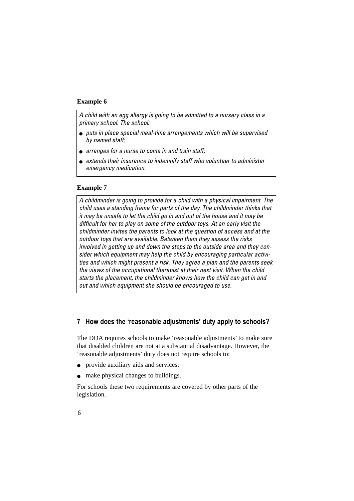### **Example 6**

*A child with an egg allergy is going to be admitted to a nursery class in a primary school. The school:*

- *puts in place special meal-time arrangements which will be supervised by named staff;*
- *arranges for a nurse to come in and train staff;*
- *extends their insurance to indemnify staff who volunteer to administer emergency medication.*

#### **Example 7**

*A childminder is going to provide for a child with a physical impairment. The child uses a standing frame for parts of the day. The childminder thinks that it may be unsafe to let the child go in and out of the house and it may be difficult for her to play on some of the outdoor toys. At an early visit the childminder invites the parents to look at the question of access and at the outdoor toys that are available. Between them they assess the risks involved in getting up and down the steps to the outside area and they consider which equipment may help the child by encouraging particular activities and which might present a risk. They agree a plan and the parents seek the views of the occupational therapist at their next visit. When the child starts the placement, the childminder knows how the child can get in and out and which equipment she should be encouraged to use.*

## **7 How does the 'reasonable adjustments' duty apply to schools?**

The DDA requires schools to make 'reasonable adjustments' to make sure that disabled children are not at a substantial disadvantage. However, the 'reasonable adjustments' duty does not require schools to:

- provide auxiliary aids and services;
- make physical changes to buildings.

For schools these two requirements are covered by other parts of the legislation.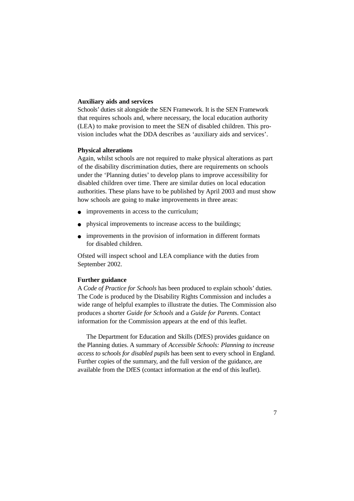#### **Auxiliary aids and services**

Schools' duties sit alongside the SEN Framework. It is the SEN Framework that requires schools and, where necessary, the local education authority (LEA) to make provision to meet the SEN of disabled children. This provision includes what the DDA describes as 'auxiliary aids and services'.

#### **Physical alterations**

Again, whilst schools are not required to make physical alterations as part of the disability discrimination duties, there are requirements on schools under the 'Planning duties' to develop plans to improve accessibility for disabled children over time. There are similar duties on local education authorities. These plans have to be published by April 2003 and must show how schools are going to make improvements in three areas:

- improvements in access to the curriculum;
- physical improvements to increase access to the buildings;
- improvements in the provision of information in different formats for disabled children.

Ofsted will inspect school and LEA compliance with the duties from September 2002.

#### **Further guidance**

A *Code of Practice for Schools* has been produced to explain schools' duties. The Code is produced by the Disability Rights Commission and includes a wide range of helpful examples to illustrate the duties. The Commission also produces a shorter *Guide for Schools* and a *Guide for Parent*s. Contact information for the Commission appears at the end of this leaflet.

The Department for Education and Skills (DfES) provides guidance on the Planning duties. A summary of *Accessible Schools: Planning to increase access to schools for disabled pupils* has been sent to every school in England. Further copies of the summary, and the full version of the guidance, are available from the DfES (contact information at the end of this leaflet).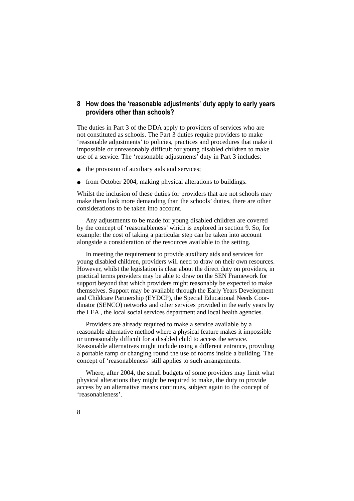## **8 How does the 'reasonable adjustments' duty apply to early years providers other than schools?**

The duties in Part 3 of the DDA apply to providers of services who are not constituted as schools. The Part 3 duties require providers to make 'reasonable adjustments' to policies, practices and procedures that make it impossible or unreasonably difficult for young disabled children to make use of a service. The 'reasonable adjustments' duty in Part 3 includes:

- the provision of auxiliary aids and services;
- from October 2004, making physical alterations to buildings.

Whilst the inclusion of these duties for providers that are not schools may make them look more demanding than the schools' duties, there are other considerations to be taken into account.

Any adjustments to be made for young disabled children are covered by the concept of 'reasonableness' which is explored in section 9. So, for example: the cost of taking a particular step can be taken into account alongside a consideration of the resources available to the setting.

In meeting the requirement to provide auxiliary aids and services for young disabled children, providers will need to draw on their own resources. However, whilst the legislation is clear about the direct duty on providers, in practical terms providers may be able to draw on the SEN Framework for support beyond that which providers might reasonably be expected to make themselves. Support may be available through the Early Years Development and Childcare Partnership (EYDCP), the Special Educational Needs Coordinator (SENCO) networks and other services provided in the early years by the LEA , the local social services department and local health agencies.

Providers are already required to make a service available by a reasonable alternative method where a physical feature makes it impossible or unreasonably difficult for a disabled child to access the service. Reasonable alternatives might include using a different entrance, providing a portable ramp or changing round the use of rooms inside a building. The concept of 'reasonableness' still applies to such arrangements.

Where, after 2004, the small budgets of some providers may limit what physical alterations they might be required to make, the duty to provide access by an alternative means continues, subject again to the concept of 'reasonableness'.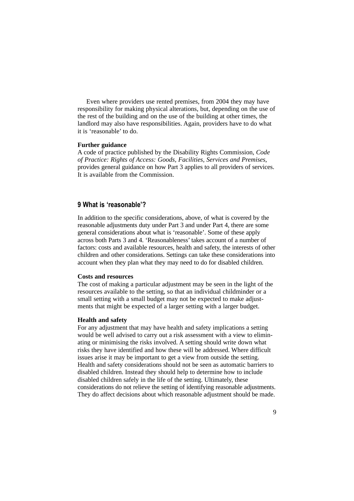Even where providers use rented premises, from 2004 they may have responsibility for making physical alterations, but, depending on the use of the rest of the building and on the use of the building at other times, the landlord may also have responsibilities. Again, providers have to do what it is 'reasonable' to do.

#### **Further guidance**

A code of practice published by the Disability Rights Commission, *Code of Practice: Rights of Access: Goods, Facilities, Services and Premises*, provides general guidance on how Part 3 applies to all providers of services. It is available from the Commission.

## **9 What is 'reasonable'?**

In addition to the specific considerations, above, of what is covered by the reasonable adjustments duty under Part 3 and under Part 4, there are some general considerations about what is 'reasonable'. Some of these apply across both Parts 3 and 4. 'Reasonableness' takes account of a number of factors: costs and available resources, health and safety, the interests of other children and other considerations. Settings can take these considerations into account when they plan what they may need to do for disabled children.

#### **Costs and resources**

The cost of making a particular adjustment may be seen in the light of the resources available to the setting, so that an individual childminder or a small setting with a small budget may not be expected to make adjustments that might be expected of a larger setting with a larger budget.

#### **Health and safety**

For any adjustment that may have health and safety implications a setting would be well advised to carry out a risk assessment with a view to eliminating or minimising the risks involved. A setting should write down what risks they have identified and how these will be addressed. Where difficult issues arise it may be important to get a view from outside the setting. Health and safety considerations should not be seen as automatic barriers to disabled children. Instead they should help to determine how to include disabled children safely in the life of the setting. Ultimately, these considerations do not relieve the setting of identifying reasonable adjustments. They do affect decisions about which reasonable adjustment should be made.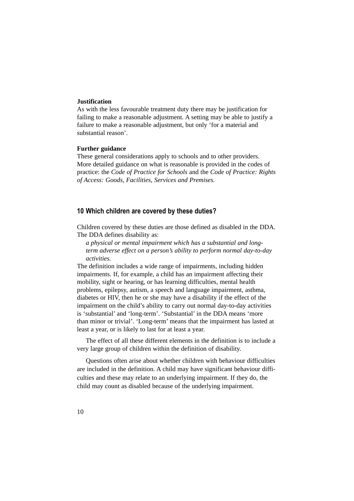### **Justification**

As with the less favourable treatment duty there may be justification for failing to make a reasonable adjustment. A setting may be able to justify a failure to make a reasonable adjustment, but only 'for a material and substantial reason'.

#### **Further guidance**

These general considerations apply to schools and to other providers. More detailed guidance on what is reasonable is provided in the codes of practice: the *Code of Practice for Schools* and the *Code of Practice: Rights of Access: Goods, Facilities, Services and Premises.*

## **10 Which children are covered by these duties?**

Children covered by these duties are those defined as disabled in the DDA. The DDA defines disability as:

*a physical or mental impairment which has a substantial and longterm adverse effect on a person's ability to perform normal day-to-day activities.*

The definition includes a wide range of impairments, including hidden impairments. If, for example, a child has an impairment affecting their mobility, sight or hearing, or has learning difficulties, mental health problems, epilepsy, autism, a speech and language impairment, asthma, diabetes or HIV, then he or she may have a disability if the effect of the impairment on the child's ability to carry out normal day-to-day activities is 'substantial' and 'long-term'. 'Substantial' in the DDA means 'more than minor or trivial'. 'Long-term' means that the impairment has lasted at least a year, or is likely to last for at least a year.

The effect of all these different elements in the definition is to include a very large group of children within the definition of disability.

Questions often arise about whether children with behaviour difficulties are included in the definition. A child may have significant behaviour difficulties and these may relate to an underlying impairment. If they do, the child may count as disabled because of the underlying impairment.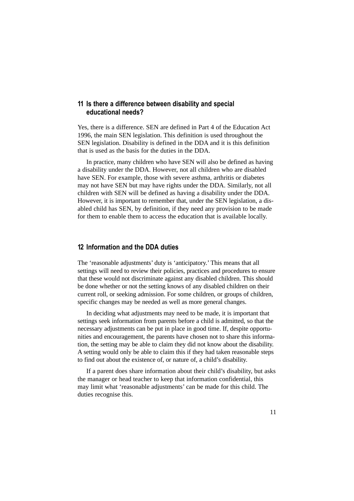## **11 Is there a difference between disability and special educational needs?**

Yes, there is a difference. SEN are defined in Part 4 of the Education Act 1996, the main SEN legislation. This definition is used throughout the SEN legislation. Disability is defined in the DDA and it is this definition that is used as the basis for the duties in the DDA.

In practice, many children who have SEN will also be defined as having a disability under the DDA. However, not all children who are disabled have SEN. For example, those with severe asthma, arthritis or diabetes may not have SEN but may have rights under the DDA. Similarly, not all children with SEN will be defined as having a disability under the DDA. However, it is important to remember that, under the SEN legislation, a disabled child has SEN, by definition, if they need any provision to be made for them to enable them to access the education that is available locally.

## **12 Information and the DDA duties**

The 'reasonable adjustments' duty is 'anticipatory.' This means that all settings will need to review their policies, practices and procedures to ensure that these would not discriminate against any disabled children. This should be done whether or not the setting knows of any disabled children on their current roll, or seeking admission. For some children, or groups of children, specific changes may be needed as well as more general changes.

In deciding what adjustments may need to be made, it is important that settings seek information from parents before a child is admitted, so that the necessary adjustments can be put in place in good time. If, despite opportunities and encouragement, the parents have chosen not to share this information, the setting may be able to claim they did not know about the disability. A setting would only be able to claim this if they had taken reasonable steps to find out about the existence of, or nature of, a child's disability.

If a parent does share information about their child's disability, but asks the manager or head teacher to keep that information confidential, this may limit what 'reasonable adjustments' can be made for this child. The duties recognise this.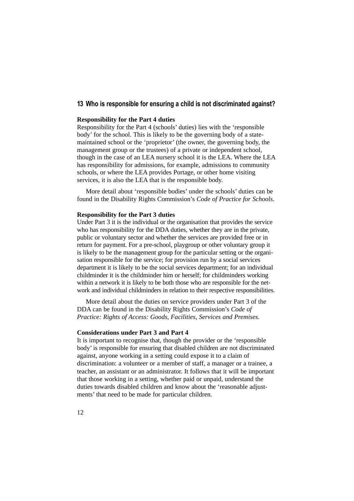## **13 Who is responsible for ensuring a child is not discriminated against?**

#### **Responsibility for the Part 4 duties**

Responsibility for the Part 4 (schools' duties) lies with the 'responsible body' for the school. This is likely to be the governing body of a statemaintained school or the 'proprietor' (the owner, the governing body, the management group or the trustees) of a private or independent school, though in the case of an LEA nursery school it is the LEA. Where the LEA has responsibility for admissions, for example, admissions to community schools, or where the LEA provides Portage, or other home visiting services, it is also the LEA that is the responsible body.

More detail about 'responsible bodies' under the schools' duties can be found in the Disability Rights Commission's *Code of Practice for Schools*.

#### **Responsibility for the Part 3 duties**

Under Part 3 it is the individual or the organisation that provides the service who has responsibility for the DDA duties, whether they are in the private, public or voluntary sector and whether the services are provided free or in return for payment. For a pre-school, playgroup or other voluntary group it is likely to be the management group for the particular setting or the organisation responsible for the service; for provision run by a social services department it is likely to be the social services department; for an individual childminder it is the childminder him or herself; for childminders working within a network it is likely to be both those who are responsible for the network and individual childminders in relation to their respective responsibilities.

More detail about the duties on service providers under Part 3 of the DDA can be found in the Disability Rights Commission's *Code of Practice: Rights of Access: Goods, Facilities, Services and Premises*.

#### **Considerations under Part 3 and Part 4**

It is important to recognise that, though the provider or the 'responsible body' is responsible for ensuring that disabled children are not discriminated against, anyone working in a setting could expose it to a claim of discrimination: a volunteer or a member of staff, a manager or a trainee, a teacher, an assistant or an administrator. It follows that it will be important that those working in a setting, whether paid or unpaid, understand the duties towards disabled children and know about the 'reasonable adjustments' that need to be made for particular children.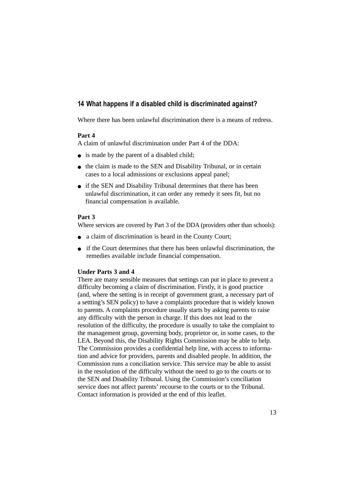## **14 What happens if a disabled child is discriminated against?**

Where there has been unlawful discrimination there is a means of redress.

### **Part 4**

A claim of unlawful discrimination under Part 4 of the DDA:

- is made by the parent of a disabled child;
- the claim is made to the SEN and Disability Tribunal, or in certain cases to a local admissions or exclusions appeal panel;
- if the SEN and Disability Tribunal determines that there has been unlawful discrimination, it can order any remedy it sees fit, but no financial compensation is available.

### **Part 3**

Where services are covered by Part 3 of the DDA (providers other than schools):

- a claim of discrimination is heard in the County Court;
- if the Court determines that there has been unlawful discrimination, the remedies available include financial compensation.

## **Under Parts 3 and 4**

There are many sensible measures that settings can put in place to prevent a difficulty becoming a claim of discrimination. Firstly, it is good practice (and, where the setting is in receipt of government grant, a necessary part of a settting's SEN policy) to have a complaints procedure that is widely known to parents. A complaints procedure usually starts by asking parents to raise any difficulty with the person in charge. If this does not lead to the resolution of the difficulty, the procedure is usually to take the complaint to the management group, governing body, proprietor or, in some cases, to the LEA. Beyond this, the Disability Rights Commission may be able to help. The Commission provides a confidential help line, with access to information and advice for providers, parents and disabled people. In addition, the Commission runs a conciliation service. This service may be able to assist in the resolution of the difficulty without the need to go to the courts or to the SEN and Disability Tribunal. Using the Commission's conciliation service does not affect parents' recourse to the courts or to the Tribunal. Contact information is provided at the end of this leaflet.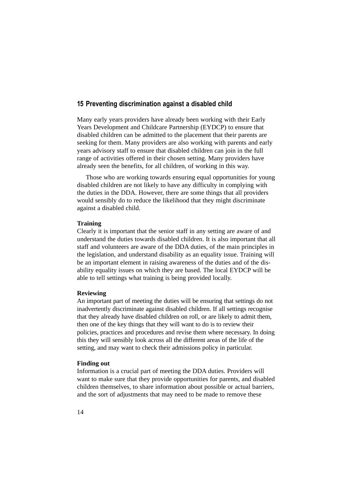### **15 Preventing discrimination against a disabled child**

Many early years providers have already been working with their Early Years Development and Childcare Partnership (EYDCP) to ensure that disabled children can be admitted to the placement that their parents are seeking for them. Many providers are also working with parents and early years advisory staff to ensure that disabled children can join in the full range of activities offered in their chosen setting. Many providers have already seen the benefits, for all children, of working in this way.

Those who are working towards ensuring equal opportunities for young disabled children are not likely to have any difficulty in complying with the duties in the DDA. However, there are some things that all providers would sensibly do to reduce the likelihood that they might discriminate against a disabled child.

#### **Training**

Clearly it is important that the senior staff in any setting are aware of and understand the duties towards disabled children. It is also important that all staff and volunteers are aware of the DDA duties, of the main principles in the legislation, and understand disability as an equality issue. Training will be an important element in raising awareness of the duties and of the disability equality issues on which they are based. The local EYDCP will be able to tell settings what training is being provided locally.

#### **Reviewing**

An important part of meeting the duties will be ensuring that settings do not inadvertently discriminate against disabled children. If all settings recognise that they already have disabled children on roll, or are likely to admit them, then one of the key things that they will want to do is to review their policies, practices and procedures and revise them where necessary. In doing this they will sensibly look across all the different areas of the life of the setting, and may want to check their admissions policy in particular.

#### **Finding out**

Information is a crucial part of meeting the DDA duties. Providers will want to make sure that they provide opportunities for parents, and disabled children themselves, to share information about possible or actual barriers, and the sort of adjustments that may need to be made to remove these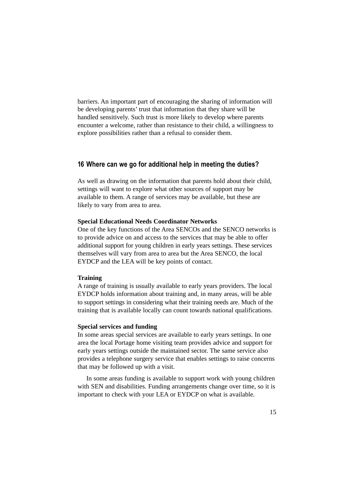barriers. An important part of encouraging the sharing of information will be developing parents' trust that information that they share will be handled sensitively. Such trust is more likely to develop where parents encounter a welcome, rather than resistance to their child, a willingness to explore possibilities rather than a refusal to consider them.

## **16 Where can we go for additional help in meeting the duties?**

As well as drawing on the information that parents hold about their child, settings will want to explore what other sources of support may be available to them. A range of services may be available, but these are likely to vary from area to area.

#### **Special Educational Needs Coordinator Networks**

One of the key functions of the Area SENCOs and the SENCO networks is to provide advice on and access to the services that may be able to offer additional support for young children in early years settings. These services themselves will vary from area to area but the Area SENCO, the local EYDCP and the LEA will be key points of contact.

### **Training**

A range of training is usually available to early years providers. The local EYDCP holds information about training and, in many areas, will be able to support settings in considering what their training needs are. Much of the training that is available locally can count towards national qualifications.

#### **Special services and funding**

In some areas special services are available to early years settings. In one area the local Portage home visiting team provides advice and support for early years settings outside the maintained sector. The same service also provides a telephone surgery service that enables settings to raise concerns that may be followed up with a visit.

In some areas funding is available to support work with young children with SEN and disabilities. Funding arrangements change over time, so it is important to check with your LEA or EYDCP on what is available.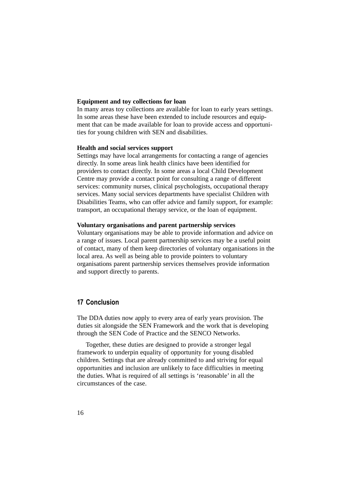### **Equipment and toy collections for loan**

In many areas toy collections are available for loan to early years settings. In some areas these have been extended to include resources and equipment that can be made available for loan to provide access and opportunities for young children with SEN and disabilities.

### **Health and social services support**

Settings may have local arrangements for contacting a range of agencies directly. In some areas link health clinics have been identified for providers to contact directly. In some areas a local Child Development Centre may provide a contact point for consulting a range of different services: community nurses, clinical psychologists, occupational therapy services. Many social services departments have specialist Children with Disabilities Teams, who can offer advice and family support, for example: transport, an occupational therapy service, or the loan of equipment.

### **Voluntary organisations and parent partnership services**

Voluntary organisations may be able to provide information and advice on a range of issues. Local parent partnership services may be a useful point of contact, many of them keep directories of voluntary organisations in the local area. As well as being able to provide pointers to voluntary organisations parent partnership services themselves provide information and support directly to parents.

## **17 Conclusion**

The DDA duties now apply to every area of early years provision. The duties sit alongside the SEN Framework and the work that is developing through the SEN Code of Practice and the SENCO Networks.

Together, these duties are designed to provide a stronger legal framework to underpin equality of opportunity for young disabled children. Settings that are already committed to and striving for equal opportunities and inclusion are unlikely to face difficulties in meeting the duties. What is required of all settings is 'reasonable' in all the circumstances of the case.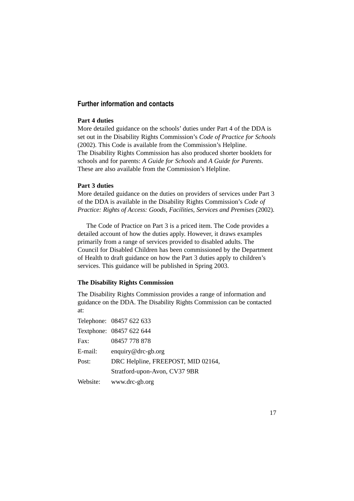## **Further information and contacts**

## **Part 4 duties**

More detailed guidance on the schools' duties under Part 4 of the DDA is set out in the Disability Rights Commission's *Code of Practice for Schools* (2002). This Code is available from the Commission's Helpline. The Disability Rights Commission has also produced shorter booklets for schools and for parents: *A Guide for Schools* and *A Guide for Parents*. These are also available from the Commission's Helpline.

### **Part 3 duties**

More detailed guidance on the duties on providers of services under Part 3 of the DDA is available in the Disability Rights Commission's *Code of Practice: Rights of Access: Goods, Facilities, Services and Premises* (2002).

The Code of Practice on Part 3 is a priced item. The Code provides a detailed account of how the duties apply. However, it draws examples primarily from a range of services provided to disabled adults. The Council for Disabled Children has been commissioned by the Department of Health to draft guidance on how the Part 3 duties apply to children's services. This guidance will be published in Spring 2003.

### **The Disability Rights Commission**

The Disability Rights Commission provides a range of information and guidance on the DDA. The Disability Rights Commission can be contacted at:

|          | Telephone: 08457 622 633           |
|----------|------------------------------------|
|          | Textphone: 08457 622 644           |
| Fax:     | 08457 778 878                      |
| E-mail:  | enquiry@drc-gb.org                 |
| Post:    | DRC Helpline, FREEPOST, MID 02164, |
|          | Stratford-upon-Avon, CV37 9BR      |
| Website: | www.drc-gb.org                     |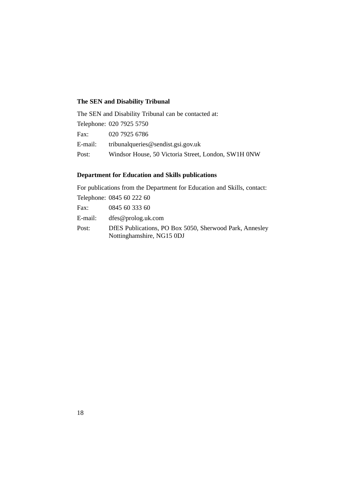# **The SEN and Disability Tribunal**

|         | The SEN and Disability Tribunal can be contacted at: |
|---------|------------------------------------------------------|
|         | Telephone: 020 7925 5750                             |
| Fax:    | 020 7925 6786                                        |
| E-mail: | tribunal queries $@$ sendist.gsi.gov.uk              |
| Post:   | Windsor House, 50 Victoria Street, London, SW1H 0NW  |

# **Department for Education and Skills publications**

For publications from the Department for Education and Skills, contact: Telephone: 0845 60 222 60 Fax:  $0.945 \le 0.333 \le 0$ 

| Fax:    | 0845 60 333 60                                          |
|---------|---------------------------------------------------------|
| E-mail: | $d$ fes@prolog.uk.com                                   |
| Post:   | DfES Publications, PO Box 5050, Sherwood Park, Annesley |
|         | Nottinghamshire, NG15 0DJ                               |